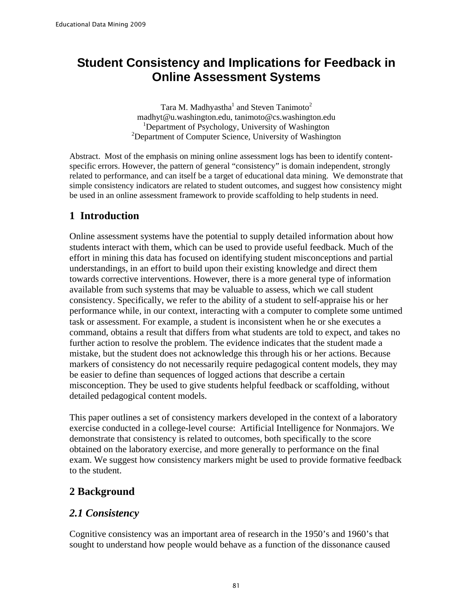# **Student Consistency and Implications for Feedback in Online Assessment Systems**

Tara M. Madhyastha<sup>1</sup> and Steven Tanimoto<sup>2</sup> madhyt@u.washington.edu, tanimoto@cs.washington.edu <sup>1</sup>Department of Psychology, University of Washington <sup>2</sup>Department of Computer Science, University of Washington

Abstract. Most of the emphasis on mining online assessment logs has been to identify contentspecific errors. However, the pattern of general "consistency" is domain independent, strongly related to performance, and can itself be a target of educational data mining. We demonstrate that simple consistency indicators are related to student outcomes, and suggest how consistency might be used in an online assessment framework to provide scaffolding to help students in need.

## **1 Introduction**

Online assessment systems have the potential to supply detailed information about how students interact with them, which can be used to provide useful feedback. Much of the effort in mining this data has focused on identifying student misconceptions and partial understandings, in an effort to build upon their existing knowledge and direct them towards corrective interventions. However, there is a more general type of information available from such systems that may be valuable to assess, which we call student consistency. Specifically, we refer to the ability of a student to self-appraise his or her performance while, in our context, interacting with a computer to complete some untimed task or assessment. For example, a student is inconsistent when he or she executes a command, obtains a result that differs from what students are told to expect, and takes no further action to resolve the problem. The evidence indicates that the student made a mistake, but the student does not acknowledge this through his or her actions. Because markers of consistency do not necessarily require pedagogical content models, they may be easier to define than sequences of logged actions that describe a certain misconception. They be used to give students helpful feedback or scaffolding, without detailed pedagogical content models.

This paper outlines a set of consistency markers developed in the context of a laboratory exercise conducted in a college-level course: Artificial Intelligence for Nonmajors. We demonstrate that consistency is related to outcomes, both specifically to the score obtained on the laboratory exercise, and more generally to performance on the final exam. We suggest how consistency markers might be used to provide formative feedback to the student.

## **2 Background**

### *2.1 Consistency*

Cognitive consistency was an important area of research in the 1950's and 1960's that sought to understand how people would behave as a function of the dissonance caused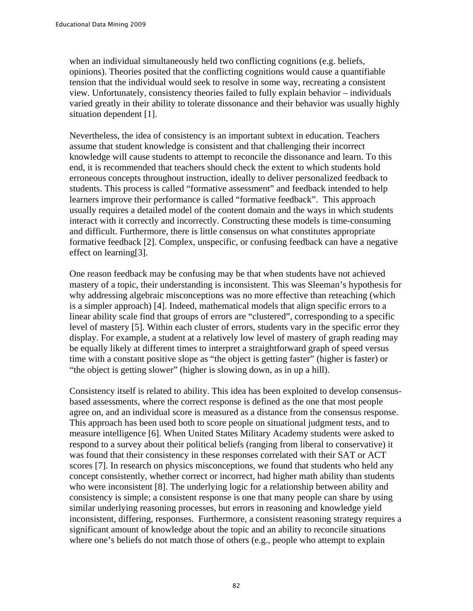when an individual simultaneously held two conflicting cognitions (e.g. beliefs, opinions). Theories posited that the conflicting cognitions would cause a quantifiable tension that the individual would seek to resolve in some way, recreating a consistent view. Unfortunately, consistency theories failed to fully explain behavior – individuals varied greatly in their ability to tolerate dissonance and their behavior was usually highly situation dependent [1].

Nevertheless, the idea of consistency is an important subtext in education. Teachers assume that student knowledge is consistent and that challenging their incorrect knowledge will cause students to attempt to reconcile the dissonance and learn. To this end, it is recommended that teachers should check the extent to which students hold erroneous concepts throughout instruction, ideally to deliver personalized feedback to students. This process is called "formative assessment" and feedback intended to help learners improve their performance is called "formative feedback". This approach usually requires a detailed model of the content domain and the ways in which students interact with it correctly and incorrectly. Constructing these models is time-consuming and difficult. Furthermore, there is little consensus on what constitutes appropriate formative feedback [2]. Complex, unspecific, or confusing feedback can have a negative effect on learning[3].

One reason feedback may be confusing may be that when students have not achieved mastery of a topic, their understanding is inconsistent. This was Sleeman's hypothesis for why addressing algebraic misconceptions was no more effective than reteaching (which is a simpler approach) [4]. Indeed, mathematical models that align specific errors to a linear ability scale find that groups of errors are "clustered", corresponding to a specific level of mastery [5]. Within each cluster of errors, students vary in the specific error they display. For example, a student at a relatively low level of mastery of graph reading may be equally likely at different times to interpret a straightforward graph of speed versus time with a constant positive slope as "the object is getting faster" (higher is faster) or "the object is getting slower" (higher is slowing down, as in up a hill).

Consistency itself is related to ability. This idea has been exploited to develop consensusbased assessments, where the correct response is defined as the one that most people agree on, and an individual score is measured as a distance from the consensus response. This approach has been used both to score people on situational judgment tests, and to measure intelligence [6]. When United States Military Academy students were asked to respond to a survey about their political beliefs (ranging from liberal to conservative) it was found that their consistency in these responses correlated with their SAT or ACT scores [7]. In research on physics misconceptions, we found that students who held any concept consistently, whether correct or incorrect, had higher math ability than students who were inconsistent [8]. The underlying logic for a relationship between ability and consistency is simple; a consistent response is one that many people can share by using similar underlying reasoning processes, but errors in reasoning and knowledge yield inconsistent, differing, responses. Furthermore, a consistent reasoning strategy requires a significant amount of knowledge about the topic and an ability to reconcile situations where one's beliefs do not match those of others (e.g., people who attempt to explain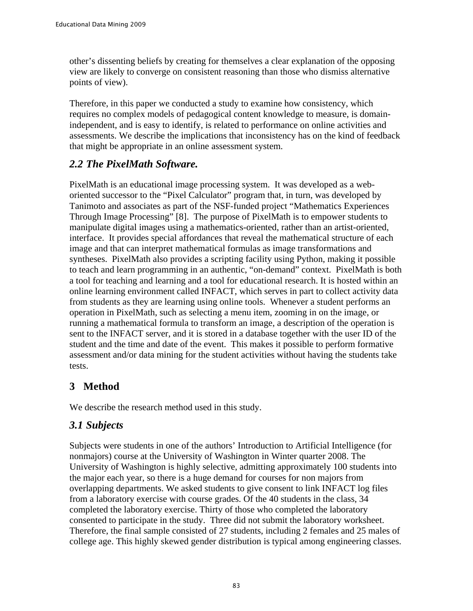other's dissenting beliefs by creating for themselves a clear explanation of the opposing view are likely to converge on consistent reasoning than those who dismiss alternative points of view).

Therefore, in this paper we conducted a study to examine how consistency, which requires no complex models of pedagogical content knowledge to measure, is domainindependent, and is easy to identify, is related to performance on online activities and assessments. We describe the implications that inconsistency has on the kind of feedback that might be appropriate in an online assessment system.

#### *2.2 The PixelMath Software.*

PixelMath is an educational image processing system. It was developed as a weboriented successor to the "Pixel Calculator" program that, in turn, was developed by Tanimoto and associates as part of the NSF-funded project "Mathematics Experiences Through Image Processing" [8]. The purpose of PixelMath is to empower students to manipulate digital images using a mathematics-oriented, rather than an artist-oriented, interface. It provides special affordances that reveal the mathematical structure of each image and that can interpret mathematical formulas as image transformations and syntheses. PixelMath also provides a scripting facility using Python, making it possible to teach and learn programming in an authentic, "on-demand" context. PixelMath is both a tool for teaching and learning and a tool for educational research. It is hosted within an online learning environment called INFACT, which serves in part to collect activity data from students as they are learning using online tools. Whenever a student performs an operation in PixelMath, such as selecting a menu item, zooming in on the image, or running a mathematical formula to transform an image, a description of the operation is sent to the INFACT server, and it is stored in a database together with the user ID of the student and the time and date of the event. This makes it possible to perform formative assessment and/or data mining for the student activities without having the students take tests.

### **3 Method**

We describe the research method used in this study.

### *3.1 Subjects*

Subjects were students in one of the authors' Introduction to Artificial Intelligence (for nonmajors) course at the University of Washington in Winter quarter 2008. The University of Washington is highly selective, admitting approximately 100 students into the major each year, so there is a huge demand for courses for non majors from overlapping departments. We asked students to give consent to link INFACT log files from a laboratory exercise with course grades. Of the 40 students in the class, 34 completed the laboratory exercise. Thirty of those who completed the laboratory consented to participate in the study. Three did not submit the laboratory worksheet. Therefore, the final sample consisted of 27 students, including 2 females and 25 males of college age. This highly skewed gender distribution is typical among engineering classes.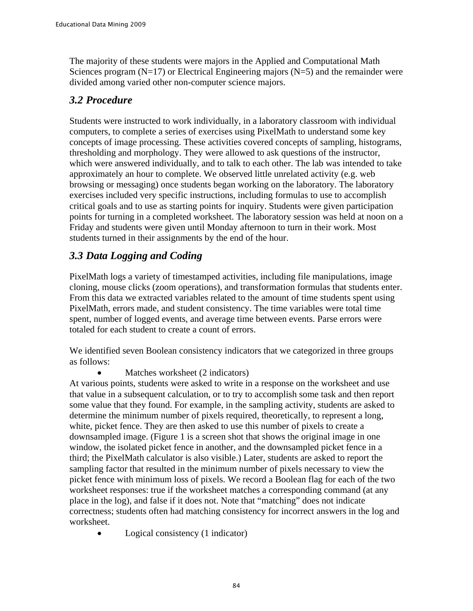The majority of these students were majors in the Applied and Computational Math Sciences program  $(N=17)$  or Electrical Engineering majors  $(N=5)$  and the remainder were divided among varied other non-computer science majors.

#### *3.2 Procedure*

Students were instructed to work individually, in a laboratory classroom with individual computers, to complete a series of exercises using PixelMath to understand some key concepts of image processing. These activities covered concepts of sampling, histograms, thresholding and morphology. They were allowed to ask questions of the instructor, which were answered individually, and to talk to each other. The lab was intended to take approximately an hour to complete. We observed little unrelated activity (e.g. web browsing or messaging) once students began working on the laboratory. The laboratory exercises included very specific instructions, including formulas to use to accomplish critical goals and to use as starting points for inquiry. Students were given participation points for turning in a completed worksheet. The laboratory session was held at noon on a Friday and students were given until Monday afternoon to turn in their work. Most students turned in their assignments by the end of the hour.

## *3.3 Data Logging and Coding*

PixelMath logs a variety of timestamped activities, including file manipulations, image cloning, mouse clicks (zoom operations), and transformation formulas that students enter. From this data we extracted variables related to the amount of time students spent using PixelMath, errors made, and student consistency. The time variables were total time spent, number of logged events, and average time between events. Parse errors were totaled for each student to create a count of errors.

We identified seven Boolean consistency indicators that we categorized in three groups as follows:

Matches worksheet (2 indicators)

At various points, students were asked to write in a response on the worksheet and use that value in a subsequent calculation, or to try to accomplish some task and then report some value that they found. For example, in the sampling activity, students are asked to determine the minimum number of pixels required, theoretically, to represent a long, white, picket fence. They are then asked to use this number of pixels to create a downsampled image. (Figure 1 is a screen shot that shows the original image in one window, the isolated picket fence in another, and the downsampled picket fence in a third; the PixelMath calculator is also visible.) Later, students are asked to report the sampling factor that resulted in the minimum number of pixels necessary to view the picket fence with minimum loss of pixels. We record a Boolean flag for each of the two worksheet responses: true if the worksheet matches a corresponding command (at any place in the log), and false if it does not. Note that "matching" does not indicate correctness; students often had matching consistency for incorrect answers in the log and worksheet.

• Logical consistency (1 indicator)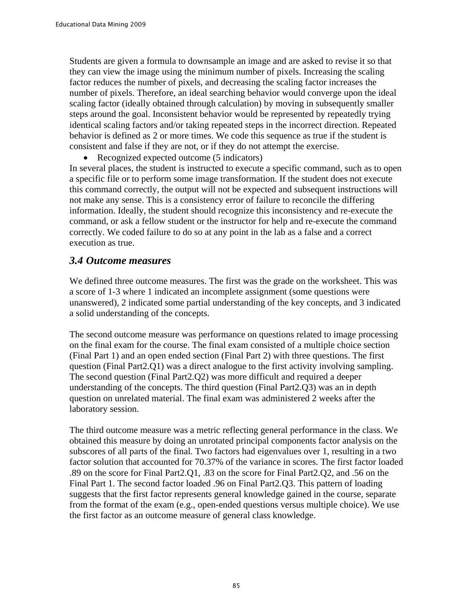Students are given a formula to downsample an image and are asked to revise it so that they can view the image using the minimum number of pixels. Increasing the scaling factor reduces the number of pixels, and decreasing the scaling factor increases the number of pixels. Therefore, an ideal searching behavior would converge upon the ideal scaling factor (ideally obtained through calculation) by moving in subsequently smaller steps around the goal. Inconsistent behavior would be represented by repeatedly trying identical scaling factors and/or taking repeated steps in the incorrect direction. Repeated behavior is defined as 2 or more times. We code this sequence as true if the student is consistent and false if they are not, or if they do not attempt the exercise.

• Recognized expected outcome (5 indicators)

In several places, the student is instructed to execute a specific command, such as to open a specific file or to perform some image transformation. If the student does not execute this command correctly, the output will not be expected and subsequent instructions will not make any sense. This is a consistency error of failure to reconcile the differing information. Ideally, the student should recognize this inconsistency and re-execute the command, or ask a fellow student or the instructor for help and re-execute the command correctly. We coded failure to do so at any point in the lab as a false and a correct execution as true.

#### *3.4 Outcome measures*

We defined three outcome measures. The first was the grade on the worksheet. This was a score of 1-3 where 1 indicated an incomplete assignment (some questions were unanswered), 2 indicated some partial understanding of the key concepts, and 3 indicated a solid understanding of the concepts.

The second outcome measure was performance on questions related to image processing on the final exam for the course. The final exam consisted of a multiple choice section (Final Part 1) and an open ended section (Final Part 2) with three questions. The first question (Final Part2.Q1) was a direct analogue to the first activity involving sampling. The second question (Final Part2.Q2) was more difficult and required a deeper understanding of the concepts. The third question (Final Part2.Q3) was an in depth question on unrelated material. The final exam was administered 2 weeks after the laboratory session.

The third outcome measure was a metric reflecting general performance in the class. We obtained this measure by doing an unrotated principal components factor analysis on the subscores of all parts of the final. Two factors had eigenvalues over 1, resulting in a two factor solution that accounted for 70.37% of the variance in scores. The first factor loaded .89 on the score for Final Part2.Q1, .83 on the score for Final Part2.Q2, and .56 on the Final Part 1. The second factor loaded .96 on Final Part2.Q3. This pattern of loading suggests that the first factor represents general knowledge gained in the course, separate from the format of the exam (e.g., open-ended questions versus multiple choice). We use the first factor as an outcome measure of general class knowledge.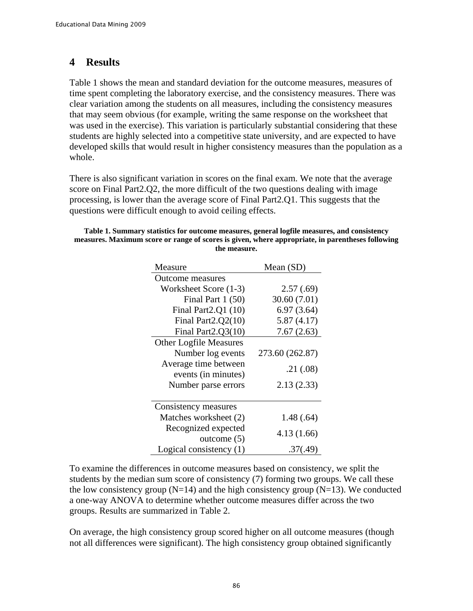#### **4 Results**

[Table 1](#page-5-0) shows the mean and standard deviation for the outcome measures, measures of time spent completing the laboratory exercise, and the consistency measures. There was clear variation among the students on all measures, including the consistency measures that may seem obvious (for example, writing the same response on the worksheet that was used in the exercise). This variation is particularly substantial considering that these students are highly selected into a competitive state university, and are expected to have developed skills that would result in higher consistency measures than the population as a whole.

There is also significant variation in scores on the final exam. We note that the average score on Final Part2.Q2, the more difficult of the two questions dealing with image processing, is lower than the average score of Final Part2.Q1. This suggests that the questions were difficult enough to avoid ceiling effects.

#### <span id="page-5-0"></span>**Table 1. Summary statistics for outcome measures, general logfile measures, and consistency measures. Maximum score or range of scores is given, where appropriate, in parentheses following the measure.**

| Measure                       | Mean $(SD)$     |  |  |  |
|-------------------------------|-----------------|--|--|--|
| Outcome measures              |                 |  |  |  |
| Worksheet Score (1-3)         | 2.57(.69)       |  |  |  |
| Final Part 1 (50)             | 30.60 (7.01)    |  |  |  |
| Final Part2.Q1 (10)           | 6.97(3.64)      |  |  |  |
| Final Part $2.Q2(10)$         | 5.87(4.17)      |  |  |  |
| Final Part $2.Q3(10)$         | 7.67(2.63)      |  |  |  |
| <b>Other Logfile Measures</b> |                 |  |  |  |
| Number log events             | 273.60 (262.87) |  |  |  |
| Average time between          | .21(.08)        |  |  |  |
| events (in minutes)           |                 |  |  |  |
| Number parse errors           | 2.13(2.33)      |  |  |  |
|                               |                 |  |  |  |
| Consistency measures          |                 |  |  |  |
| Matches worksheet (2)         | 1.48(.64)       |  |  |  |
| Recognized expected           | 4.13 (1.66)     |  |  |  |
| outcome $(5)$                 |                 |  |  |  |
| Logical consistency $(1)$     | .37(.49)        |  |  |  |

To examine the differences in outcome measures based on consistency, we split the students by the median sum score of consistency (7) forming two groups. We call these the low consistency group  $(N=14)$  and the high consistency group  $(N=13)$ . We conducted a one-way ANOVA to determine whether outcome measures differ across the two groups. Results are summarized in Table 2.

On average, the high consistency group scored higher on all outcome measures (though not all differences were significant). The high consistency group obtained significantly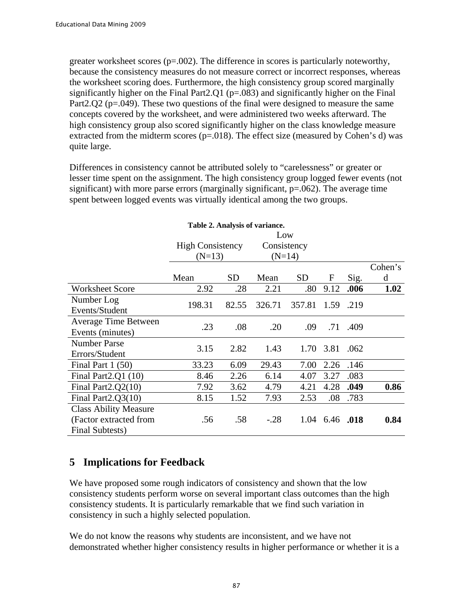greater worksheet scores  $(p=.002)$ . The difference in scores is particularly noteworthy, because the consistency measures do not measure correct or incorrect responses, whereas the worksheet scoring does. Furthermore, the high consistency group scored marginally significantly higher on the Final Part2.Q1 ( $p=0.083$ ) and significantly higher on the Final Part2.Q2 ( $p=.049$ ). These two questions of the final were designed to measure the same concepts covered by the worksheet, and were administered two weeks afterward. The high consistency group also scored significantly higher on the class knowledge measure extracted from the midterm scores ( $p=0.018$ ). The effect size (measured by Cohen's d) was quite large.

Differences in consistency cannot be attributed solely to "carelessness" or greater or lesser time spent on the assignment. The high consistency group logged fewer events (not significant) with more parse errors (marginally significant,  $p=0.062$ ). The average time spent between logged events was virtually identical among the two groups.

| Table 2. Analysis of variance. |                         |           |             |           |      |      |         |  |
|--------------------------------|-------------------------|-----------|-------------|-----------|------|------|---------|--|
|                                | Low                     |           |             |           |      |      |         |  |
|                                | <b>High Consistency</b> |           | Consistency |           |      |      |         |  |
|                                | $(N=13)$                |           | $(N=14)$    |           |      |      |         |  |
|                                |                         |           |             |           |      |      | Cohen's |  |
|                                | Mean                    | <b>SD</b> | Mean        | <b>SD</b> | F    | Sig. | d       |  |
| <b>Worksheet Score</b>         | 2.92                    | .28       | 2.21        | .80       | 9.12 | .006 | 1.02    |  |
| Number Log                     | 198.31                  |           |             |           |      |      |         |  |
| Events/Student                 |                         | 82.55     | 326.71      | 357.81    | 1.59 | .219 |         |  |
| <b>Average Time Between</b>    | .23                     | .08       | .20         | .09       | .71  |      |         |  |
| Events (minutes)               |                         |           |             |           |      | .409 |         |  |
| <b>Number Parse</b>            | 3.15                    | 2.82      | 1.43        | 1.70      | 3.81 | .062 |         |  |
| Errors/Student                 |                         |           |             |           |      |      |         |  |
| Final Part $1(50)$             | 33.23                   | 6.09      | 29.43       | 7.00      | 2.26 | .146 |         |  |
| Final Part2. $Q1(10)$          | 8.46                    | 2.26      | 6.14        | 4.07      | 3.27 | .083 |         |  |
| Final Part2. $Q2(10)$          | 7.92                    | 3.62      | 4.79        | 4.21      | 4.28 | .049 | 0.86    |  |
| Final Part $2.Q3(10)$          | 8.15                    | 1.52      | 7.93        | 2.53      | .08  | .783 |         |  |
| <b>Class Ability Measure</b>   |                         |           |             |           |      |      |         |  |
| (Factor extracted from         | .56                     | .58       | $-.28$      | 1.04      | 6.46 | .018 | 0.84    |  |
| Final Subtests)                |                         |           |             |           |      |      |         |  |

### **5 Implications for Feedback**

We have proposed some rough indicators of consistency and shown that the low consistency students perform worse on several important class outcomes than the high consistency students. It is particularly remarkable that we find such variation in consistency in such a highly selected population.

We do not know the reasons why students are inconsistent, and we have not demonstrated whether higher consistency results in higher performance or whether it is a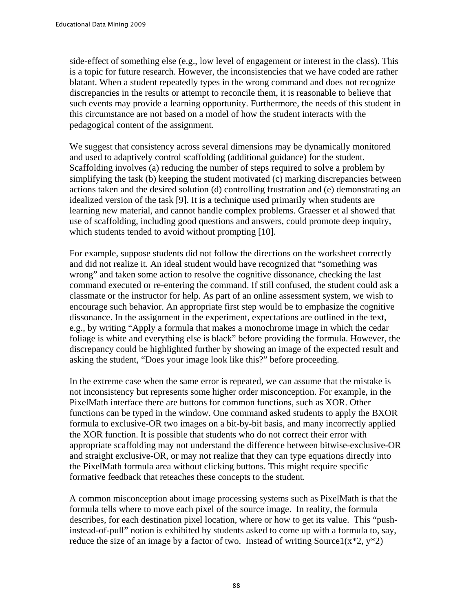side-effect of something else (e.g., low level of engagement or interest in the class). This is a topic for future research. However, the inconsistencies that we have coded are rather blatant. When a student repeatedly types in the wrong command and does not recognize discrepancies in the results or attempt to reconcile them, it is reasonable to believe that such events may provide a learning opportunity. Furthermore, the needs of this student in this circumstance are not based on a model of how the student interacts with the pedagogical content of the assignment.

We suggest that consistency across several dimensions may be dynamically monitored and used to adaptively control scaffolding (additional guidance) for the student. Scaffolding involves (a) reducing the number of steps required to solve a problem by simplifying the task (b) keeping the student motivated (c) marking discrepancies between actions taken and the desired solution (d) controlling frustration and (e) demonstrating an idealized version of the task [9]. It is a technique used primarily when students are learning new material, and cannot handle complex problems. Graesser et al showed that use of scaffolding, including good questions and answers, could promote deep inquiry, which students tended to avoid without prompting [10].

For example, suppose students did not follow the directions on the worksheet correctly and did not realize it. An ideal student would have recognized that "something was wrong" and taken some action to resolve the cognitive dissonance, checking the last command executed or re-entering the command. If still confused, the student could ask a classmate or the instructor for help. As part of an online assessment system, we wish to encourage such behavior. An appropriate first step would be to emphasize the cognitive dissonance. In the assignment in the experiment, expectations are outlined in the text, e.g., by writing "Apply a formula that makes a monochrome image in which the cedar foliage is white and everything else is black" before providing the formula. However, the discrepancy could be highlighted further by showing an image of the expected result and asking the student, "Does your image look like this?" before proceeding.

In the extreme case when the same error is repeated, we can assume that the mistake is not inconsistency but represents some higher order misconception. For example, in the PixelMath interface there are buttons for common functions, such as XOR. Other functions can be typed in the window. One command asked students to apply the BXOR formula to exclusive-OR two images on a bit-by-bit basis, and many incorrectly applied the XOR function. It is possible that students who do not correct their error with appropriate scaffolding may not understand the difference between bitwise-exclusive-OR and straight exclusive-OR, or may not realize that they can type equations directly into the PixelMath formula area without clicking buttons. This might require specific formative feedback that reteaches these concepts to the student.

A common misconception about image processing systems such as PixelMath is that the formula tells where to move each pixel of the source image. In reality, the formula describes, for each destination pixel location, where or how to get its value. This "pushinstead-of-pull" notion is exhibited by students asked to come up with a formula to, say, reduce the size of an image by a factor of two. Instead of writing Source1( $x^*2$ ,  $y^*2$ )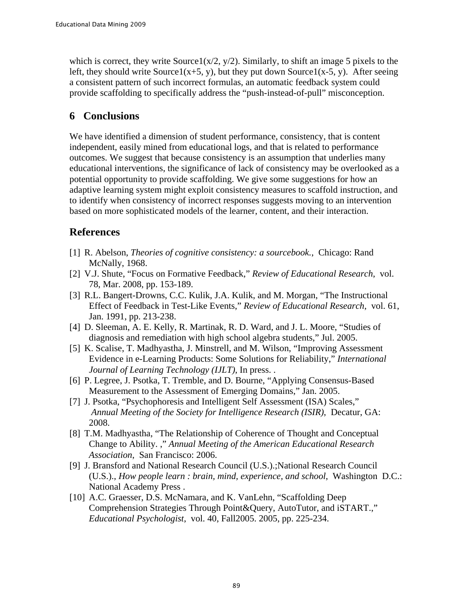which is correct, they write  $Source1(x/2, y/2)$ . Similarly, to shift an image 5 pixels to the left, they should write Source1(x+5, y), but they put down Source1(x-5, y). After seeing a consistent pattern of such incorrect formulas, an automatic feedback system could provide scaffolding to specifically address the "push-instead-of-pull" misconception.

#### **6 Conclusions**

We have identified a dimension of student performance, consistency, that is content independent, easily mined from educational logs, and that is related to performance outcomes. We suggest that because consistency is an assumption that underlies many educational interventions, the significance of lack of consistency may be overlooked as a potential opportunity to provide scaffolding. We give some suggestions for how an adaptive learning system might exploit consistency measures to scaffold instruction, and to identify when consistency of incorrect responses suggests moving to an intervention based on more sophisticated models of the learner, content, and their interaction.

#### **References**

- [1] R. Abelson, *Theories of cognitive consistency: a sourcebook.*, Chicago: Rand McNally, 1968.
- [2] V.J. Shute, "Focus on Formative Feedback," *Review of Educational Research*, vol. 78, Mar. 2008, pp. 153-189.
- [3] R.L. Bangert-Drowns, C.C. Kulik, J.A. Kulik, and M. Morgan, "The Instructional Effect of Feedback in Test-Like Events," *Review of Educational Research*, vol. 61, Jan. 1991, pp. 213-238.
- [4] D. Sleeman, A. E. Kelly, R. Martinak, R. D. Ward, and J. L. Moore, "Studies of diagnosis and remediation with high school algebra students," Jul. 2005.
- [5] K. Scalise, T. Madhyastha, J. Minstrell, and M. Wilson, "Improving Assessment Evidence in e-Learning Products: Some Solutions for Reliability," *International Journal of Learning Technology (IJLT)*, In press. .
- [6] P. Legree, J. Psotka, T. Tremble, and D. Bourne, "Applying Consensus-Based Measurement to the Assessment of Emerging Domains," Jan. 2005.
- [7] J. Psotka, "Psychophoresis and Intelligent Self Assessment (ISA) Scales," *Annual Meeting of the Society for Intelligence Research (ISIR)*, Decatur, GA: 2008.
- [8] T.M. Madhyastha, "The Relationship of Coherence of Thought and Conceptual Change to Ability. ," *Annual Meeting of the American Educational Research Association*, San Francisco: 2006.
- [9] J. Bransford and National Research Council (U.S.).;National Research Council (U.S.)., *How people learn : brain, mind, experience, and school*, Washington D.C.: National Academy Press .
- [10] A.C. Graesser, D.S. McNamara, and K. VanLehn, "Scaffolding Deep Comprehension Strategies Through Point&Query, AutoTutor, and iSTART.," *Educational Psychologist*, vol. 40, Fall2005. 2005, pp. 225-234.